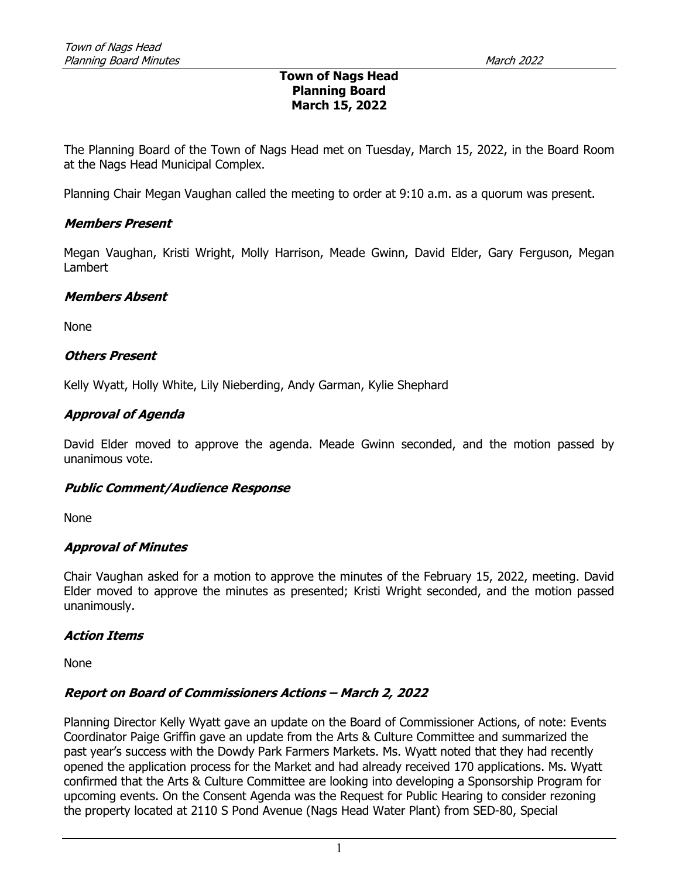## Town of Nags Head Planning Board March 15, 2022

The Planning Board of the Town of Nags Head met on Tuesday, March 15, 2022, in the Board Room at the Nags Head Municipal Complex.

Planning Chair Megan Vaughan called the meeting to order at 9:10 a.m. as a quorum was present.

## Members Present

Megan Vaughan, Kristi Wright, Molly Harrison, Meade Gwinn, David Elder, Gary Ferguson, Megan Lambert

### Members Absent

None

## Others Present

Kelly Wyatt, Holly White, Lily Nieberding, Andy Garman, Kylie Shephard

# Approval of Agenda

David Elder moved to approve the agenda. Meade Gwinn seconded, and the motion passed by unanimous vote.

# Public Comment/Audience Response

None

### Approval of Minutes

Chair Vaughan asked for a motion to approve the minutes of the February 15, 2022, meeting. David Elder moved to approve the minutes as presented; Kristi Wright seconded, and the motion passed unanimously.

### Action Items

None

# Report on Board of Commissioners Actions – March 2, 2022

Planning Director Kelly Wyatt gave an update on the Board of Commissioner Actions, of note: Events Coordinator Paige Griffin gave an update from the Arts & Culture Committee and summarized the past year's success with the Dowdy Park Farmers Markets. Ms. Wyatt noted that they had recently opened the application process for the Market and had already received 170 applications. Ms. Wyatt confirmed that the Arts & Culture Committee are looking into developing a Sponsorship Program for upcoming events. On the Consent Agenda was the Request for Public Hearing to consider rezoning the property located at 2110 S Pond Avenue (Nags Head Water Plant) from SED-80, Special

1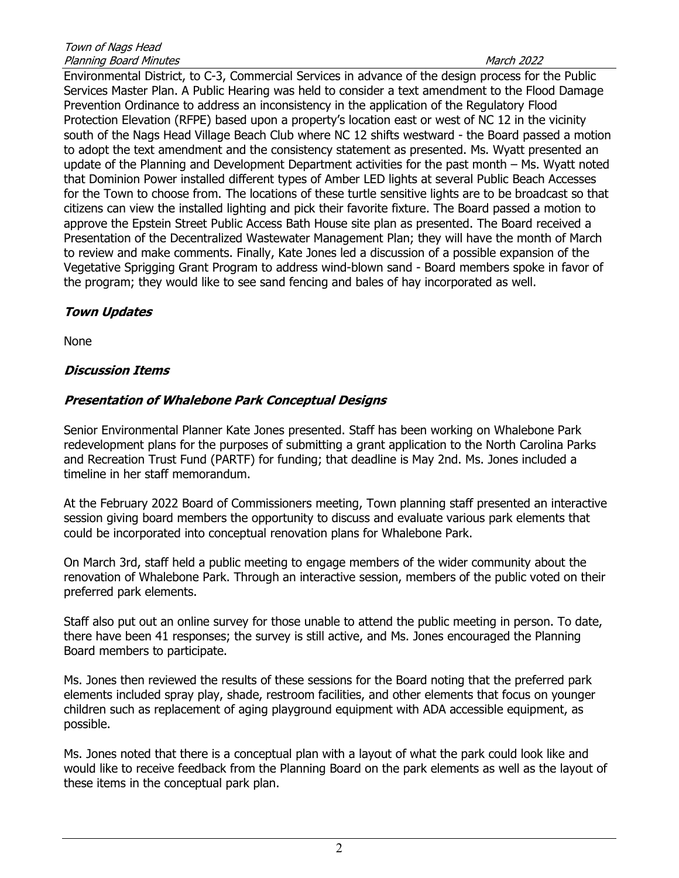Environmental District, to C-3, Commercial Services in advance of the design process for the Public Services Master Plan. A Public Hearing was held to consider a text amendment to the Flood Damage Prevention Ordinance to address an inconsistency in the application of the Regulatory Flood Protection Elevation (RFPE) based upon a property's location east or west of NC 12 in the vicinity south of the Nags Head Village Beach Club where NC 12 shifts westward - the Board passed a motion to adopt the text amendment and the consistency statement as presented. Ms. Wyatt presented an update of the Planning and Development Department activities for the past month – Ms. Wyatt noted that Dominion Power installed different types of Amber LED lights at several Public Beach Accesses for the Town to choose from. The locations of these turtle sensitive lights are to be broadcast so that citizens can view the installed lighting and pick their favorite fixture. The Board passed a motion to approve the Epstein Street Public Access Bath House site plan as presented. The Board received a Presentation of the Decentralized Wastewater Management Plan; they will have the month of March to review and make comments. Finally, Kate Jones led a discussion of a possible expansion of the Vegetative Sprigging Grant Program to address wind-blown sand - Board members spoke in favor of the program; they would like to see sand fencing and bales of hay incorporated as well.

# Town Updates

None

# Discussion Items

# Presentation of Whalebone Park Conceptual Designs

Senior Environmental Planner Kate Jones presented. Staff has been working on Whalebone Park redevelopment plans for the purposes of submitting a grant application to the North Carolina Parks and Recreation Trust Fund (PARTF) for funding; that deadline is May 2nd. Ms. Jones included a timeline in her staff memorandum.

At the February 2022 Board of Commissioners meeting, Town planning staff presented an interactive session giving board members the opportunity to discuss and evaluate various park elements that could be incorporated into conceptual renovation plans for Whalebone Park.

On March 3rd, staff held a public meeting to engage members of the wider community about the renovation of Whalebone Park. Through an interactive session, members of the public voted on their preferred park elements.

Staff also put out an online survey for those unable to attend the public meeting in person. To date, there have been 41 responses; the survey is still active, and Ms. Jones encouraged the Planning Board members to participate.

Ms. Jones then reviewed the results of these sessions for the Board noting that the preferred park elements included spray play, shade, restroom facilities, and other elements that focus on younger children such as replacement of aging playground equipment with ADA accessible equipment, as possible.

Ms. Jones noted that there is a conceptual plan with a layout of what the park could look like and would like to receive feedback from the Planning Board on the park elements as well as the layout of these items in the conceptual park plan.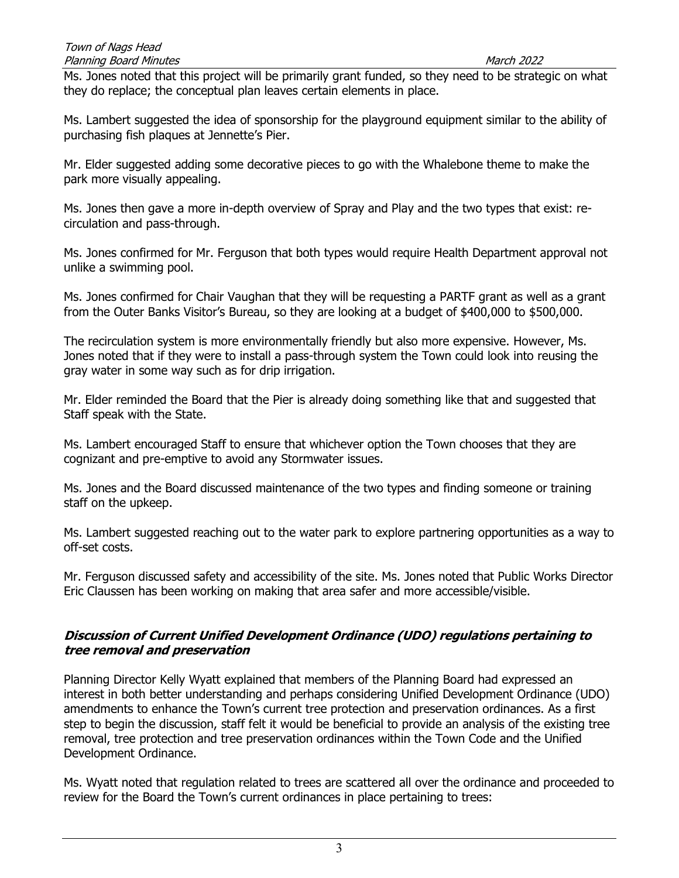Ms. Jones noted that this project will be primarily grant funded, so they need to be strategic on what they do replace; the conceptual plan leaves certain elements in place.

Ms. Lambert suggested the idea of sponsorship for the playground equipment similar to the ability of purchasing fish plaques at Jennette's Pier.

Mr. Elder suggested adding some decorative pieces to go with the Whalebone theme to make the park more visually appealing.

Ms. Jones then gave a more in-depth overview of Spray and Play and the two types that exist: recirculation and pass-through.

Ms. Jones confirmed for Mr. Ferguson that both types would require Health Department approval not unlike a swimming pool.

Ms. Jones confirmed for Chair Vaughan that they will be requesting a PARTF grant as well as a grant from the Outer Banks Visitor's Bureau, so they are looking at a budget of \$400,000 to \$500,000.

The recirculation system is more environmentally friendly but also more expensive. However, Ms. Jones noted that if they were to install a pass-through system the Town could look into reusing the gray water in some way such as for drip irrigation.

Mr. Elder reminded the Board that the Pier is already doing something like that and suggested that Staff speak with the State.

Ms. Lambert encouraged Staff to ensure that whichever option the Town chooses that they are cognizant and pre-emptive to avoid any Stormwater issues.

Ms. Jones and the Board discussed maintenance of the two types and finding someone or training staff on the upkeep.

Ms. Lambert suggested reaching out to the water park to explore partnering opportunities as a way to off-set costs.

Mr. Ferguson discussed safety and accessibility of the site. Ms. Jones noted that Public Works Director Eric Claussen has been working on making that area safer and more accessible/visible.

# Discussion of Current Unified Development Ordinance (UDO) regulations pertaining to tree removal and preservation

Planning Director Kelly Wyatt explained that members of the Planning Board had expressed an interest in both better understanding and perhaps considering Unified Development Ordinance (UDO) amendments to enhance the Town's current tree protection and preservation ordinances. As a first step to begin the discussion, staff felt it would be beneficial to provide an analysis of the existing tree removal, tree protection and tree preservation ordinances within the Town Code and the Unified Development Ordinance.

Ms. Wyatt noted that regulation related to trees are scattered all over the ordinance and proceeded to review for the Board the Town's current ordinances in place pertaining to trees: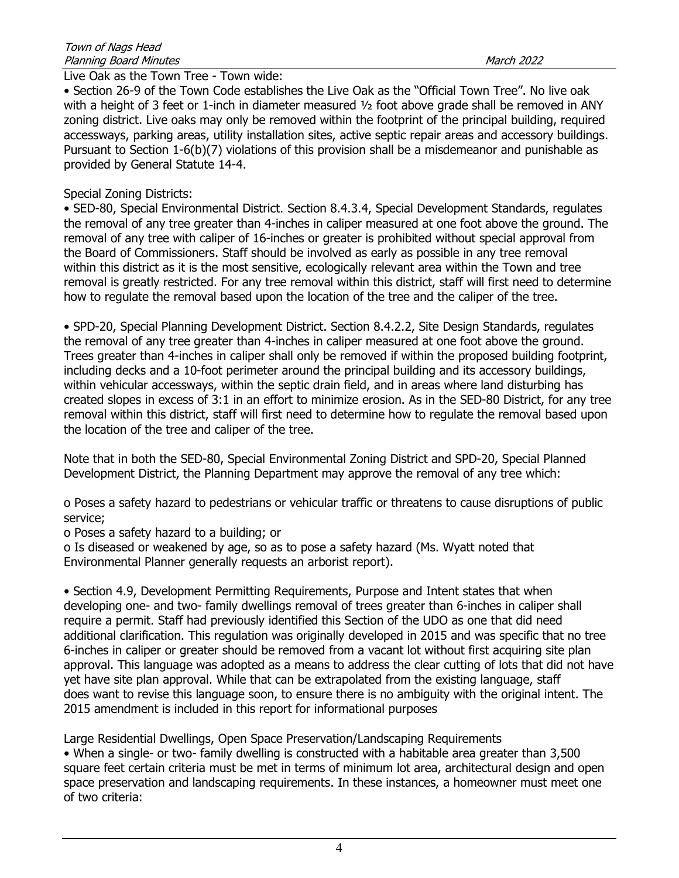## Live Oak as the Town Tree - Town wide:

• Section 26-9 of the Town Code establishes the Live Oak as the "Official Town Tree". No live oak with a height of 3 feet or 1-inch in diameter measured ½ foot above grade shall be removed in ANY zoning district. Live oaks may only be removed within the footprint of the principal building, required accessways, parking areas, utility installation sites, active septic repair areas and accessory buildings. Pursuant to Section 1-6(b)(7) violations of this provision shall be a misdemeanor and punishable as provided by General Statute 14-4.

## Special Zoning Districts:

• SED-80, Special Environmental District. Section 8.4.3.4, Special Development Standards, regulates the removal of any tree greater than 4-inches in caliper measured at one foot above the ground. The removal of any tree with caliper of 16-inches or greater is prohibited without special approval from the Board of Commissioners. Staff should be involved as early as possible in any tree removal within this district as it is the most sensitive, ecologically relevant area within the Town and tree removal is greatly restricted. For any tree removal within this district, staff will first need to determine how to regulate the removal based upon the location of the tree and the caliper of the tree.

• SPD-20, Special Planning Development District. Section 8.4.2.2, Site Design Standards, regulates the removal of any tree greater than 4-inches in caliper measured at one foot above the ground. Trees greater than 4-inches in caliper shall only be removed if within the proposed building footprint, including decks and a 10-foot perimeter around the principal building and its accessory buildings, within vehicular accessways, within the septic drain field, and in areas where land disturbing has created slopes in excess of 3:1 in an effort to minimize erosion. As in the SED-80 District, for any tree removal within this district, staff will first need to determine how to regulate the removal based upon the location of the tree and caliper of the tree.

Note that in both the SED-80, Special Environmental Zoning District and SPD-20, Special Planned Development District, the Planning Department may approve the removal of any tree which:

o Poses a safety hazard to pedestrians or vehicular traffic or threatens to cause disruptions of public service;

o Poses a safety hazard to a building; or

o Is diseased or weakened by age, so as to pose a safety hazard (Ms. Wyatt noted that Environmental Planner generally requests an arborist report).

• Section 4.9, Development Permitting Requirements, Purpose and Intent states that when developing one- and two- family dwellings removal of trees greater than 6-inches in caliper shall require a permit. Staff had previously identified this Section of the UDO as one that did need additional clarification. This regulation was originally developed in 2015 and was specific that no tree 6-inches in caliper or greater should be removed from a vacant lot without first acquiring site plan approval. This language was adopted as a means to address the clear cutting of lots that did not have yet have site plan approval. While that can be extrapolated from the existing language, staff does want to revise this language soon, to ensure there is no ambiguity with the original intent. The 2015 amendment is included in this report for informational purposes

Large Residential Dwellings, Open Space Preservation/Landscaping Requirements

• When a single- or two- family dwelling is constructed with a habitable area greater than 3,500 square feet certain criteria must be met in terms of minimum lot area, architectural design and open space preservation and landscaping requirements. In these instances, a homeowner must meet one of two criteria: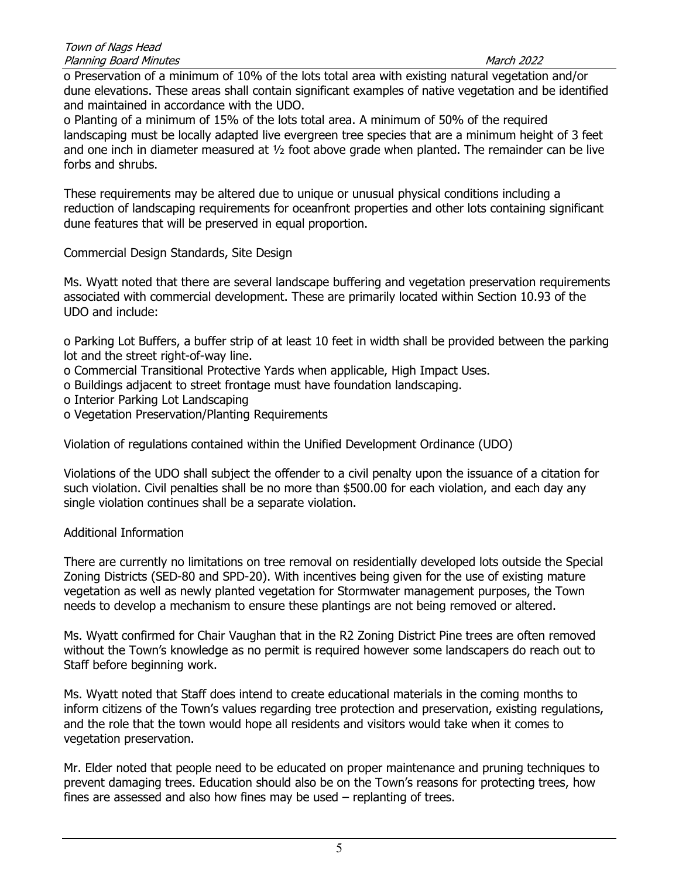o Preservation of a minimum of 10% of the lots total area with existing natural vegetation and/or dune elevations. These areas shall contain significant examples of native vegetation and be identified and maintained in accordance with the UDO.

o Planting of a minimum of 15% of the lots total area. A minimum of 50% of the required landscaping must be locally adapted live evergreen tree species that are a minimum height of 3 feet and one inch in diameter measured at ½ foot above grade when planted. The remainder can be live forbs and shrubs.

These requirements may be altered due to unique or unusual physical conditions including a reduction of landscaping requirements for oceanfront properties and other lots containing significant dune features that will be preserved in equal proportion.

Commercial Design Standards, Site Design

Ms. Wyatt noted that there are several landscape buffering and vegetation preservation requirements associated with commercial development. These are primarily located within Section 10.93 of the UDO and include:

o Parking Lot Buffers, a buffer strip of at least 10 feet in width shall be provided between the parking lot and the street right-of-way line.

- o Commercial Transitional Protective Yards when applicable, High Impact Uses.
- o Buildings adjacent to street frontage must have foundation landscaping.
- o Interior Parking Lot Landscaping
- o Vegetation Preservation/Planting Requirements

Violation of regulations contained within the Unified Development Ordinance (UDO)

Violations of the UDO shall subject the offender to a civil penalty upon the issuance of a citation for such violation. Civil penalties shall be no more than \$500.00 for each violation, and each day any single violation continues shall be a separate violation.

# Additional Information

There are currently no limitations on tree removal on residentially developed lots outside the Special Zoning Districts (SED-80 and SPD-20). With incentives being given for the use of existing mature vegetation as well as newly planted vegetation for Stormwater management purposes, the Town needs to develop a mechanism to ensure these plantings are not being removed or altered.

Ms. Wyatt confirmed for Chair Vaughan that in the R2 Zoning District Pine trees are often removed without the Town's knowledge as no permit is required however some landscapers do reach out to Staff before beginning work.

Ms. Wyatt noted that Staff does intend to create educational materials in the coming months to inform citizens of the Town's values regarding tree protection and preservation, existing regulations, and the role that the town would hope all residents and visitors would take when it comes to vegetation preservation.

Mr. Elder noted that people need to be educated on proper maintenance and pruning techniques to prevent damaging trees. Education should also be on the Town's reasons for protecting trees, how fines are assessed and also how fines may be used – replanting of trees.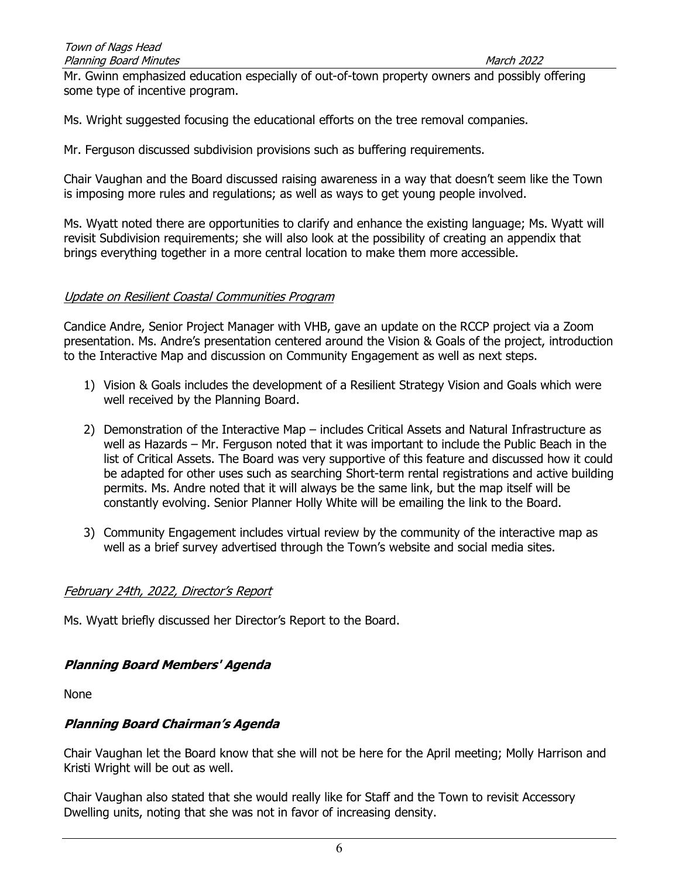Mr. Gwinn emphasized education especially of out-of-town property owners and possibly offering some type of incentive program.

Ms. Wright suggested focusing the educational efforts on the tree removal companies.

Mr. Ferguson discussed subdivision provisions such as buffering requirements.

Chair Vaughan and the Board discussed raising awareness in a way that doesn't seem like the Town is imposing more rules and regulations; as well as ways to get young people involved.

Ms. Wyatt noted there are opportunities to clarify and enhance the existing language; Ms. Wyatt will revisit Subdivision requirements; she will also look at the possibility of creating an appendix that brings everything together in a more central location to make them more accessible.

## Update on Resilient Coastal Communities Program

Candice Andre, Senior Project Manager with VHB, gave an update on the RCCP project via a Zoom presentation. Ms. Andre's presentation centered around the Vision & Goals of the project, introduction to the Interactive Map and discussion on Community Engagement as well as next steps.

- 1) Vision & Goals includes the development of a Resilient Strategy Vision and Goals which were well received by the Planning Board.
- 2) Demonstration of the Interactive Map includes Critical Assets and Natural Infrastructure as well as Hazards – Mr. Ferguson noted that it was important to include the Public Beach in the list of Critical Assets. The Board was very supportive of this feature and discussed how it could be adapted for other uses such as searching Short-term rental registrations and active building permits. Ms. Andre noted that it will always be the same link, but the map itself will be constantly evolving. Senior Planner Holly White will be emailing the link to the Board.
- 3) Community Engagement includes virtual review by the community of the interactive map as well as a brief survey advertised through the Town's website and social media sites.

### February 24th, 2022, Director's Report

Ms. Wyatt briefly discussed her Director's Report to the Board.

# Planning Board Members' Agenda

None

# Planning Board Chairman's Agenda

Chair Vaughan let the Board know that she will not be here for the April meeting; Molly Harrison and Kristi Wright will be out as well.

Chair Vaughan also stated that she would really like for Staff and the Town to revisit Accessory Dwelling units, noting that she was not in favor of increasing density.